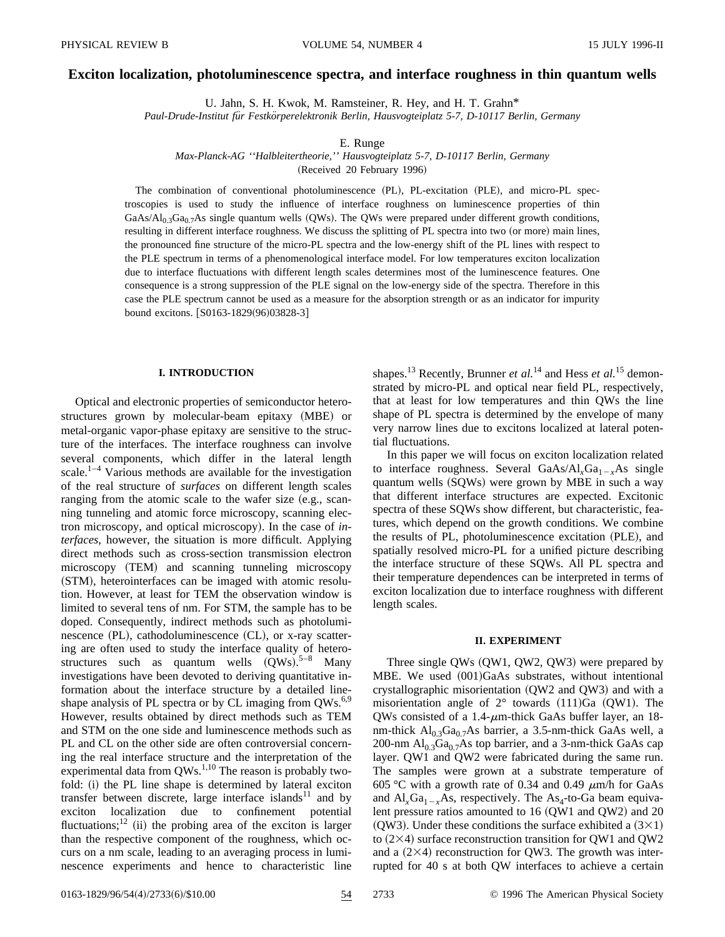# **Exciton localization, photoluminescence spectra, and interface roughness in thin quantum wells**

U. Jahn, S. H. Kwok, M. Ramsteiner, R. Hey, and H. T. Grahn\*

*Paul-Drude-Institut fu¨r Festko¨rperelektronik Berlin, Hausvogteiplatz 5-7, D-10117 Berlin, Germany*

#### E. Runge

*Max-Planck-AG ''Halbleitertheorie,'' Hausvogteiplatz 5-7, D-10117 Berlin, Germany*

(Received 20 February 1996)

The combination of conventional photoluminescence (PL), PL-excitation (PLE), and micro-PL spectroscopies is used to study the influence of interface roughness on luminescence properties of thin GaAs/Al<sub>0.3</sub>Ga<sub>0.7</sub>As single quantum wells (QWs). The QWs were prepared under different growth conditions, resulting in different interface roughness. We discuss the splitting of PL spectra into two (or more) main lines, the pronounced fine structure of the micro-PL spectra and the low-energy shift of the PL lines with respect to the PLE spectrum in terms of a phenomenological interface model. For low temperatures exciton localization due to interface fluctuations with different length scales determines most of the luminescence features. One consequence is a strong suppression of the PLE signal on the low-energy side of the spectra. Therefore in this case the PLE spectrum cannot be used as a measure for the absorption strength or as an indicator for impurity bound excitons. [S0163-1829(96)03828-3]

## **I. INTRODUCTION**

Optical and electronic properties of semiconductor heterostructures grown by molecular-beam epitaxy (MBE) or metal-organic vapor-phase epitaxy are sensitive to the structure of the interfaces. The interface roughness can involve several components, which differ in the lateral length scale.<sup>1–4</sup> Various methods are available for the investigation of the real structure of *surfaces* on different length scales ranging from the atomic scale to the wafer size  $(e.g., scan-)$ ning tunneling and atomic force microscopy, scanning electron microscopy, and optical microscopy). In the case of *interfaces*, however, the situation is more difficult. Applying direct methods such as cross-section transmission electron microscopy (TEM) and scanning tunneling microscopy  $(STM)$ , heterointerfaces can be imaged with atomic resolution. However, at least for TEM the observation window is limited to several tens of nm. For STM, the sample has to be doped. Consequently, indirect methods such as photoluminescence  $(PL)$ , cathodoluminescence  $(CL)$ , or x-ray scattering are often used to study the interface quality of heterostructures such as quantum wells  $(QWs)$ .<sup>5-8</sup> Many investigations have been devoted to deriving quantitative information about the interface structure by a detailed lineshape analysis of PL spectra or by CL imaging from  $QWs^{6,9}$ . However, results obtained by direct methods such as TEM and STM on the one side and luminescence methods such as PL and CL on the other side are often controversial concerning the real interface structure and the interpretation of the experimental data from  $QWs.$ <sup>1,10</sup> The reason is probably twofold: (i) the PL line shape is determined by lateral exciton transfer between discrete, large interface islands<sup>11</sup> and by exciton localization due to confinement potential fluctuations;<sup>12</sup> (ii) the probing area of the exciton is larger than the respective component of the roughness, which occurs on a nm scale, leading to an averaging process in luminescence experiments and hence to characteristic line shapes.<sup>13</sup> Recently, Brunner *et al.*<sup>14</sup> and Hess *et al.*<sup>15</sup> demonstrated by micro-PL and optical near field PL, respectively, that at least for low temperatures and thin QWs the line shape of PL spectra is determined by the envelope of many very narrow lines due to excitons localized at lateral potential fluctuations.

In this paper we will focus on exciton localization related to interface roughness. Several  $GaAs/Al<sub>x</sub>Ga<sub>1-x</sub>As$  single quantum wells  $(SQWs)$  were grown by MBE in such a way that different interface structures are expected. Excitonic spectra of these SQWs show different, but characteristic, features, which depend on the growth conditions. We combine the results of PL, photoluminescence excitation (PLE), and spatially resolved micro-PL for a unified picture describing the interface structure of these SQWs. All PL spectra and their temperature dependences can be interpreted in terms of exciton localization due to interface roughness with different length scales.

## **II. EXPERIMENT**

Three single QWs  $(QW1, QW2, QW3)$  were prepared by MBE. We used  $(001)GaAs$  substrates, without intentional crystallographic misorientation  $(QW2$  and  $QW3)$  and with a misorientation angle of  $2^{\circ}$  towards  $(111)Ga$   $(QW1)$ . The QWs consisted of a 1.4- $\mu$ m-thick GaAs buffer layer, an 18nm-thick  $Al<sub>0.3</sub>Ga<sub>0.7</sub>As barrier, a 3.5-nm-thick GaAs well, a$ 200-nm  $Al_{0.3}Ga_{0.7}As$  top barrier, and a 3-nm-thick GaAs cap layer. QW1 and QW2 were fabricated during the same run. The samples were grown at a substrate temperature of 605 °C with a growth rate of 0.34 and 0.49  $\mu$ m/h for GaAs and  $Al_xGa_{1-x}As$ , respectively. The As<sub>4</sub>-to-Ga beam equivalent pressure ratios amounted to  $16$  (QW1 and QW2) and 20 (QW3). Under these conditions the surface exhibited a  $(3\times1)$ to  $(2\times4)$  surface reconstruction transition for QW1 and QW2 and a  $(2\times4)$  reconstruction for QW3. The growth was interrupted for 40 s at both QW interfaces to achieve a certain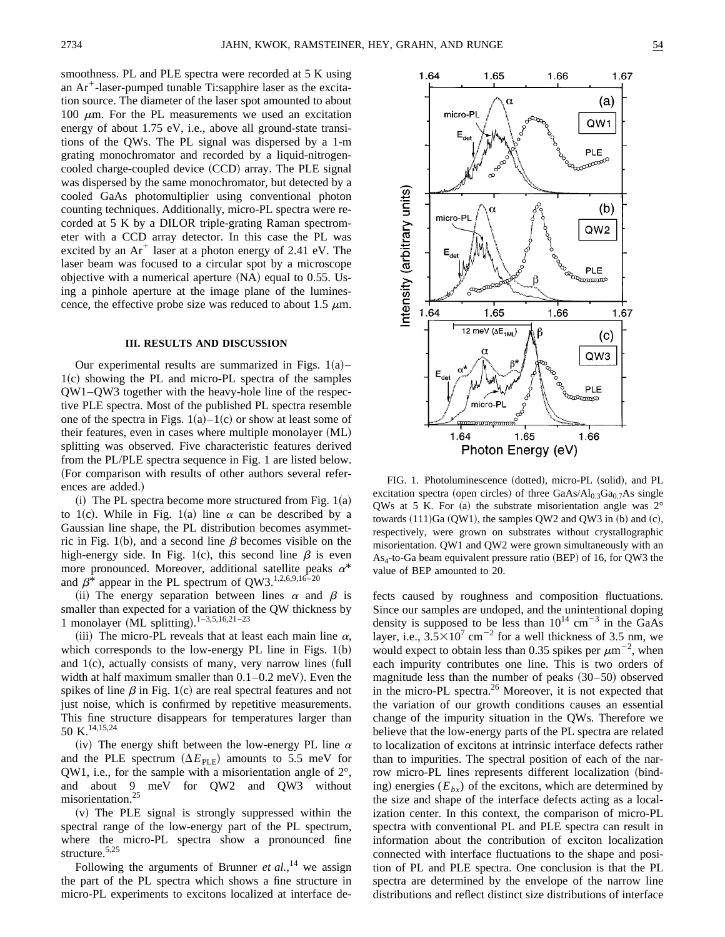smoothness. PL and PLE spectra were recorded at 5 K using an  $Ar^+$ -laser-pumped tunable Ti:sapphire laser as the excitation source. The diameter of the laser spot amounted to about 100  $\mu$ m. For the PL measurements we used an excitation energy of about 1.75 eV, i.e., above all ground-state transitions of the QWs. The PL signal was dispersed by a 1-m grating monochromator and recorded by a liquid-nitrogencooled charge-coupled device (CCD) array. The PLE signal was dispersed by the same monochromator, but detected by a cooled GaAs photomultiplier using conventional photon counting techniques. Additionally, micro-PL spectra were recorded at 5 K by a DILOR triple-grating Raman spectrometer with a CCD array detector. In this case the PL was excited by an  $Ar^+$  laser at a photon energy of 2.41 eV. The laser beam was focused to a circular spot by a microscope objective with a numerical aperture  $(NA)$  equal to 0.55. Using a pinhole aperture at the image plane of the luminescence, the effective probe size was reduced to about 1.5  $\mu$ m.

## **III. RESULTS AND DISCUSSION**

Our experimental results are summarized in Figs.  $1(a)$ –  $1(c)$  showing the PL and micro-PL spectra of the samples QW1–QW3 together with the heavy-hole line of the respective PLE spectra. Most of the published PL spectra resemble one of the spectra in Figs.  $1(a) - 1(c)$  or show at least some of their features, even in cases where multiple monolayer  $(ML)$ splitting was observed. Five characteristic features derived from the PL/PLE spectra sequence in Fig. 1 are listed below. ~For comparison with results of other authors several references are added.)

 $(i)$  The PL spectra become more structured from Fig. 1 $(a)$ to 1(c). While in Fig. 1(a) line  $\alpha$  can be described by a Gaussian line shape, the PL distribution becomes asymmetric in Fig. 1(b), and a second line  $\beta$  becomes visible on the high-energy side. In Fig. 1(c), this second line  $\beta$  is even more pronounced. Moreover, additional satellite peaks  $\alpha^*$ and  $\beta^*$  appear in the PL spectrum of QW3.<sup>1,2,6,9,16–20</sup>

(ii) The energy separation between lines  $\alpha$  and  $\beta$  is smaller than expected for a variation of the QW thickness by 1 monolayer (ML splitting).<sup>1-3,5,16,21-23</sup>

(iii) The micro-PL reveals that at least each main line  $\alpha$ , which corresponds to the low-energy PL line in Figs.  $1(b)$ and  $1(c)$ , actually consists of many, very narrow lines (full width at half maximum smaller than  $0.1-0.2$  meV). Even the spikes of line  $\beta$  in Fig. 1(c) are real spectral features and not just noise, which is confirmed by repetitive measurements. This fine structure disappears for temperatures larger than 50 K.14,15,24

(iv) The energy shift between the low-energy PL line  $\alpha$ and the PLE spectrum  $(\Delta E_{\text{PIE}})$  amounts to 5.5 meV for QW1, i.e., for the sample with a misorientation angle of 2°, and about 9 meV for QW2 and QW3 without misorientation.<sup>25</sup>

 $(v)$  The PLE signal is strongly suppressed within the spectral range of the low-energy part of the PL spectrum, where the micro-PL spectra show a pronounced fine structure.<sup>5,25</sup>

Following the arguments of Brunner  $et$   $al$ ,  $14$  we assign the part of the PL spectra which shows a fine structure in micro-PL experiments to excitons localized at interface de-



FIG. 1. Photoluminescence (dotted), micro-PL (solid), and PL excitation spectra (open circles) of three  $GaAs/Al<sub>0.3</sub>Ga<sub>0.7</sub>As single$ QWs at 5 K. For (a) the substrate misorientation angle was  $2^\circ$ towards  $(111)Ga$   $(QW1)$ , the samples  $QW2$  and  $QW3$  in  $(b)$  and  $(c)$ , respectively, were grown on substrates without crystallographic misorientation. QW1 and QW2 were grown simultaneously with an  $As<sub>4</sub>$ -to-Ga beam equivalent pressure ratio (BEP) of 16, for QW3 the value of BEP amounted to 20.

fects caused by roughness and composition fluctuations. Since our samples are undoped, and the unintentional doping density is supposed to be less than  $10^{14}$  cm<sup>-3</sup> in the GaAs layer, i.e.,  $3.5 \times 10^7$  cm<sup>-2</sup> for a well thickness of 3.5 nm, we would expect to obtain less than 0.35 spikes per  $\mu$ m<sup>-2</sup>, when each impurity contributes one line. This is two orders of magnitude less than the number of peaks  $(30–50)$  observed in the micro-PL spectra. $^{26}$  Moreover, it is not expected that the variation of our growth conditions causes an essential change of the impurity situation in the QWs. Therefore we believe that the low-energy parts of the PL spectra are related to localization of excitons at intrinsic interface defects rather than to impurities. The spectral position of each of the narrow micro-PL lines represents different localization (binding) energies  $(E_{bx})$  of the excitons, which are determined by the size and shape of the interface defects acting as a localization center. In this context, the comparison of micro-PL spectra with conventional PL and PLE spectra can result in information about the contribution of exciton localization connected with interface fluctuations to the shape and position of PL and PLE spectra. One conclusion is that the PL spectra are determined by the envelope of the narrow line distributions and reflect distinct size distributions of interface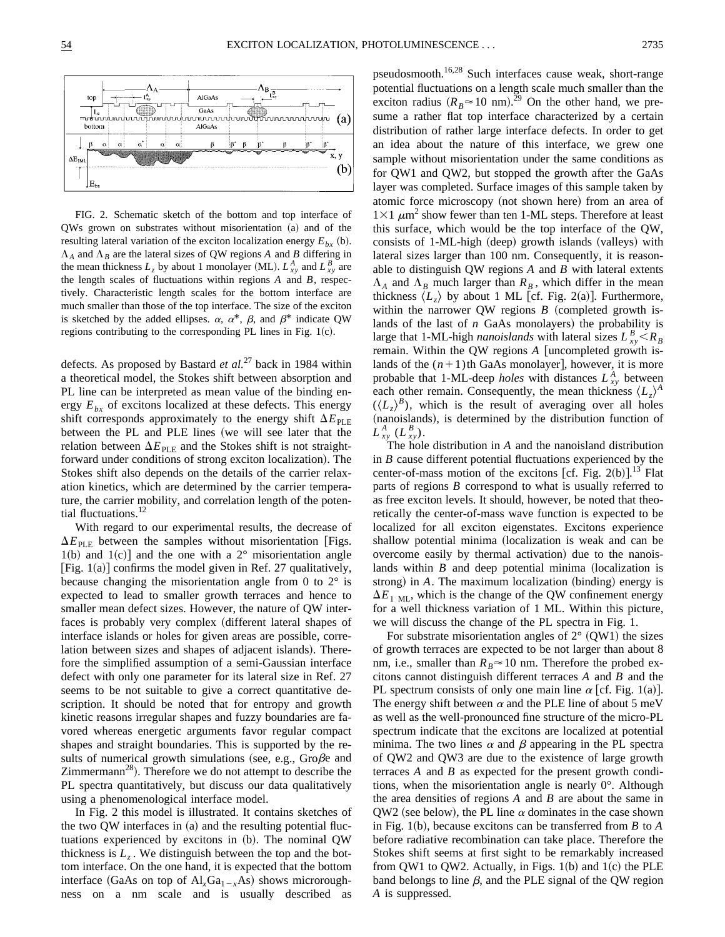

FIG. 2. Schematic sketch of the bottom and top interface of QWs grown on substrates without misorientation (a) and of the resulting lateral variation of the exciton localization energy  $E_{bx}$  (b).  $\Lambda_A$  and  $\Lambda_B$  are the lateral sizes of QW regions *A* and *B* differing in the mean thickness  $L_z$  by about 1 monolayer (ML).  $L_{xy}^A$  and  $L_{xy}^B$  are the length scales of fluctuations within regions *A* and *B*, respectively. Characteristic length scales for the bottom interface are much smaller than those of the top interface. The size of the exciton is sketched by the added ellipses.  $\alpha$ ,  $\alpha^*$ ,  $\beta$ , and  $\beta^*$  indicate QW regions contributing to the corresponding PL lines in Fig.  $1(c)$ .

defects. As proposed by Bastard *et al.*<sup>27</sup> back in 1984 within a theoretical model, the Stokes shift between absorption and PL line can be interpreted as mean value of the binding energy  $E_{bx}$  of excitons localized at these defects. This energy shift corresponds approximately to the energy shift  $\Delta E_{\text{PLE}}$ between the PL and PLE lines (we will see later that the relation between  $\Delta E_{\text{PLE}}$  and the Stokes shift is not straightforward under conditions of strong exciton localization). The Stokes shift also depends on the details of the carrier relaxation kinetics, which are determined by the carrier temperature, the carrier mobility, and correlation length of the potential fluctuations.<sup>12</sup>

With regard to our experimental results, the decrease of  $\Delta E_{\text{PLE}}$  between the samples without misorientation [Figs. 1(b) and 1(c)] and the one with a  $2^{\circ}$  misorientation angle [Fig.  $1(a)$ ] confirms the model given in Ref. 27 qualitatively, because changing the misorientation angle from 0 to 2° is expected to lead to smaller growth terraces and hence to smaller mean defect sizes. However, the nature of QW interfaces is probably very complex (different lateral shapes of interface islands or holes for given areas are possible, correlation between sizes and shapes of adjacent islands). Therefore the simplified assumption of a semi-Gaussian interface defect with only one parameter for its lateral size in Ref. 27 seems to be not suitable to give a correct quantitative description. It should be noted that for entropy and growth kinetic reasons irregular shapes and fuzzy boundaries are favored whereas energetic arguments favor regular compact shapes and straight boundaries. This is supported by the results of numerical growth simulations (see, e.g.,  $G \circ Be$  and  $Z$ immermann<sup>28</sup>). Therefore we do not attempt to describe the PL spectra quantitatively, but discuss our data qualitatively using a phenomenological interface model.

In Fig. 2 this model is illustrated. It contains sketches of the two QW interfaces in  $(a)$  and the resulting potential fluctuations experienced by excitons in (b). The nominal QW thickness is  $L<sub>z</sub>$ . We distinguish between the top and the bottom interface. On the one hand, it is expected that the bottom interface (GaAs on top of  $Al_xGa_{1-x}As$ ) shows microroughness on a nm scale and is usually described as pseudosmooth.16,28 Such interfaces cause weak, short-range potential fluctuations on a length scale much smaller than the exciton radius  $(R_B \approx 10 \text{ nm})^{29}$  On the other hand, we presume a rather flat top interface characterized by a certain distribution of rather large interface defects. In order to get an idea about the nature of this interface, we grew one sample without misorientation under the same conditions as for QW1 and QW2, but stopped the growth after the GaAs layer was completed. Surface images of this sample taken by atomic force microscopy (not shown here) from an area of  $1\times1$   $\mu$ m<sup>2</sup> show fewer than ten 1-ML steps. Therefore at least this surface, which would be the top interface of the QW, consists of 1-ML-high (deep) growth islands (valleys) with lateral sizes larger than 100 nm. Consequently, it is reasonable to distinguish QW regions *A* and *B* with lateral extents  $\Lambda_A$  and  $\Lambda_B$  much larger than  $R_B$ , which differ in the mean thickness  $\langle L_z \rangle$  by about 1 ML [cf. Fig. 2(a)]. Furthermore, within the narrower QW regions  $B$  (completed growth islands of the last of  $n$  GaAs monolayers) the probability is large that 1-ML-high *nanoislands* with lateral sizes  $L_{xy}^B < R_B$ remain. Within the QW regions *A* [uncompleted growth islands of the  $(n+1)$ th GaAs monolayer], however, it is more probable that 1-ML-deep *holes* with distances  $L_{xy}^{A}$  between each other remain. Consequently, the mean thickness  $\langle L_z \rangle^A$  $(\langle L_z \rangle^B)$ , which is the result of averaging over all holes (nanoislands), is determined by the distribution function of  $L^A_{xy}(L^B_{xy}).$ 

The hole distribution in *A* and the nanoisland distribution in *B* cause different potential fluctuations experienced by the center-of-mass motion of the excitons [cf. Fig. 2(b)].<sup>13</sup> Flat parts of regions *B* correspond to what is usually referred to as free exciton levels. It should, however, be noted that theoretically the center-of-mass wave function is expected to be localized for all exciton eigenstates. Excitons experience shallow potential minima (localization is weak and can be overcome easily by thermal activation) due to the nanoislands within  $B$  and deep potential minima (localization is strong) in  $A$ . The maximum localization (binding) energy is  $\Delta E_{1 \text{ MI}}$ , which is the change of the QW confinement energy for a well thickness variation of 1 ML. Within this picture, we will discuss the change of the PL spectra in Fig. 1.

For substrate misorientation angles of  $2^{\circ}$  (QW1) the sizes of growth terraces are expected to be not larger than about 8 nm, i.e., smaller than  $R_B \approx 10$  nm. Therefore the probed excitons cannot distinguish different terraces *A* and *B* and the PL spectrum consists of only one main line  $\alpha$  [cf. Fig. 1(a)]. The energy shift between  $\alpha$  and the PLE line of about 5 meV as well as the well-pronounced fine structure of the micro-PL spectrum indicate that the excitons are localized at potential minima. The two lines  $\alpha$  and  $\beta$  appearing in the PL spectra of QW2 and QW3 are due to the existence of large growth terraces *A* and *B* as expected for the present growth conditions, when the misorientation angle is nearly 0°. Although the area densities of regions *A* and *B* are about the same in  $QW2$  (see below), the PL line  $\alpha$  dominates in the case shown in Fig. 1(b), because excitons can be transferred from  $B$  to  $A$ before radiative recombination can take place. Therefore the Stokes shift seems at first sight to be remarkably increased from QW1 to QW2. Actually, in Figs.  $1(b)$  and  $1(c)$  the PLE band belongs to line  $\beta$ , and the PLE signal of the OW region *A* is suppressed.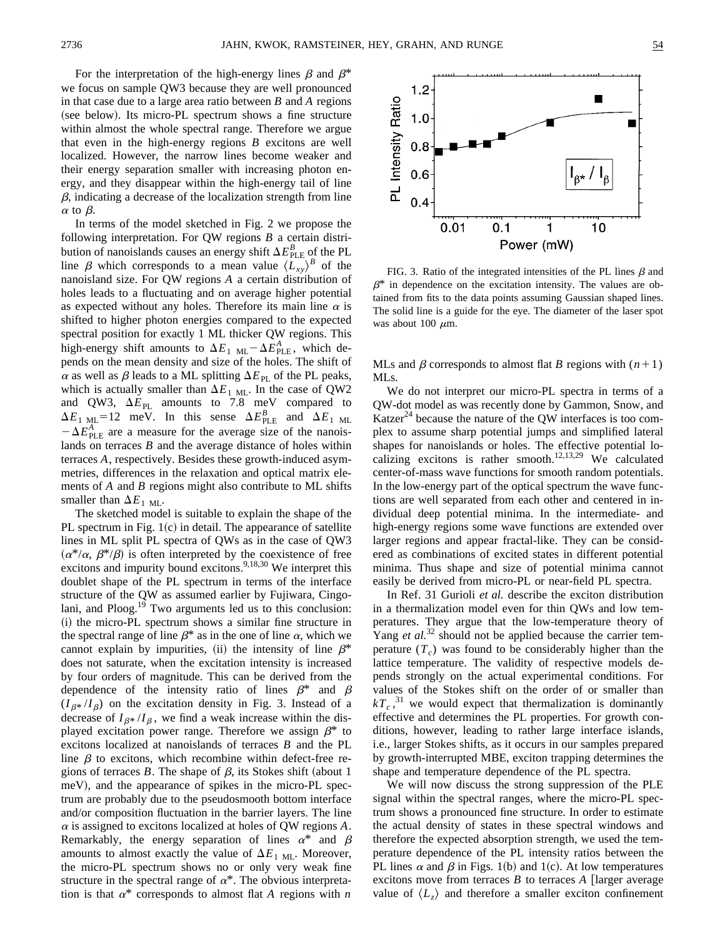For the interpretation of the high-energy lines  $\beta$  and  $\beta^*$ we focus on sample QW3 because they are well pronounced in that case due to a large area ratio between *B* and *A* regions (see below). Its micro-PL spectrum shows a fine structure within almost the whole spectral range. Therefore we argue that even in the high-energy regions *B* excitons are well localized. However, the narrow lines become weaker and their energy separation smaller with increasing photon energy, and they disappear within the high-energy tail of line  $\beta$ , indicating a decrease of the localization strength from line  $\alpha$  to  $\beta$ .

In terms of the model sketched in Fig. 2 we propose the following interpretation. For QW regions *B* a certain distribution of nanoislands causes an energy shift  $\Delta E_{\text{PLE}}^B$  of the PL line  $\beta$  which corresponds to a mean value  $\langle L_{xy} \rangle^B$  of the nanoisland size. For QW regions *A* a certain distribution of holes leads to a fluctuating and on average higher potential as expected without any holes. Therefore its main line  $\alpha$  is shifted to higher photon energies compared to the expected spectral position for exactly 1 ML thicker QW regions. This high-energy shift amounts to  $\Delta E_{1 \text{ ML}} - \Delta E_{\text{PLE}}^A$ , which depends on the mean density and size of the holes. The shift of  $\alpha$  as well as  $\beta$  leads to a ML splitting  $\Delta E_{PL}$  of the PL peaks, which is actually smaller than  $\Delta E_{1 \text{ ML}}$ . In the case of QW2 and QW3,  $\Delta E_{PL}$  amounts to 7.8 meV compared to  $\Delta E_{1 \text{ ML}} = 12 \text{ meV}$ . In this sense  $\Delta E_{\text{PLE}}^B$  and  $\Delta E_{1 \text{ ML}}$  $-\Delta E_{\text{PLE}}^A$  are a measure for the average size of the nanoislands on terraces *B* and the average distance of holes within terraces *A*, respectively. Besides these growth-induced asymmetries, differences in the relaxation and optical matrix elements of *A* and *B* regions might also contribute to ML shifts smaller than  $\Delta E_{1 \text{ ML}}$ .

The sketched model is suitable to explain the shape of the PL spectrum in Fig.  $1(c)$  in detail. The appearance of satellite lines in ML split PL spectra of QWs as in the case of QW3  $(\alpha^*/\alpha, \beta^*/\beta)$  is often interpreted by the coexistence of free excitons and impurity bound excitons.  $9,18,30$  We interpret this doublet shape of the PL spectrum in terms of the interface structure of the QW as assumed earlier by Fujiwara, Cingolani, and  $P$ loog.<sup>19</sup> Two arguments led us to this conclusion: (i) the micro-PL spectrum shows a similar fine structure in the spectral range of line  $\beta^*$  as in the one of line  $\alpha$ , which we cannot explain by impurities, (ii) the intensity of line  $\beta^*$ does not saturate, when the excitation intensity is increased by four orders of magnitude. This can be derived from the dependence of the intensity ratio of lines  $\beta^*$  and  $\beta$  $(I_{\beta*}/I_{\beta})$  on the excitation density in Fig. 3. Instead of a decrease of  $I_{\beta*}$  /*I<sub>B</sub>*, we find a weak increase within the displayed excitation power range. Therefore we assign  $\beta^*$  to excitons localized at nanoislands of terraces *B* and the PL line  $\beta$  to excitons, which recombine within defect-free regions of terraces *B*. The shape of  $\beta$ , its Stokes shift (about 1) meV), and the appearance of spikes in the micro-PL spectrum are probably due to the pseudosmooth bottom interface and/or composition fluctuation in the barrier layers. The line  $\alpha$  is assigned to excitons localized at holes of QW regions  $A$ . Remarkably, the energy separation of lines  $\alpha^*$  and  $\beta$ amounts to almost exactly the value of  $\Delta E_{1 \text{ ML}}$ . Moreover, the micro-PL spectrum shows no or only very weak fine structure in the spectral range of  $\alpha^*$ . The obvious interpretation is that  $\alpha^*$  corresponds to almost flat *A* regions with *n* 



FIG. 3. Ratio of the integrated intensities of the PL lines  $\beta$  and  $\beta^*$  in dependence on the excitation intensity. The values are obtained from fits to the data points assuming Gaussian shaped lines. The solid line is a guide for the eye. The diameter of the laser spot was about 100  $\mu$ m.

MLs and  $\beta$  corresponds to almost flat *B* regions with  $(n+1)$ MLs.

We do not interpret our micro-PL spectra in terms of a QW-dot model as was recently done by Gammon, Snow, and Katzer<sup>24</sup> because the nature of the QW interfaces is too complex to assume sharp potential jumps and simplified lateral shapes for nanoislands or holes. The effective potential localizing excitons is rather smooth.<sup>12,13,29</sup> We calculated center-of-mass wave functions for smooth random potentials. In the low-energy part of the optical spectrum the wave functions are well separated from each other and centered in individual deep potential minima. In the intermediate- and high-energy regions some wave functions are extended over larger regions and appear fractal-like. They can be considered as combinations of excited states in different potential minima. Thus shape and size of potential minima cannot easily be derived from micro-PL or near-field PL spectra.

In Ref. 31 Gurioli *et al.* describe the exciton distribution in a thermalization model even for thin QWs and low temperatures. They argue that the low-temperature theory of Yang *et al.*<sup>32</sup> should not be applied because the carrier temperature  $(T_c)$  was found to be considerably higher than the lattice temperature. The validity of respective models depends strongly on the actual experimental conditions. For values of the Stokes shift on the order of or smaller than  $kT_c$ ,<sup>31</sup> we would expect that thermalization is dominantly effective and determines the PL properties. For growth conditions, however, leading to rather large interface islands, i.e., larger Stokes shifts, as it occurs in our samples prepared by growth-interrupted MBE, exciton trapping determines the shape and temperature dependence of the PL spectra.

We will now discuss the strong suppression of the PLE signal within the spectral ranges, where the micro-PL spectrum shows a pronounced fine structure. In order to estimate the actual density of states in these spectral windows and therefore the expected absorption strength, we used the temperature dependence of the PL intensity ratios between the PL lines  $\alpha$  and  $\beta$  in Figs. 1(b) and 1(c). At low temperatures excitons move from terraces  $B$  to terraces  $A$  [larger average value of  $\langle L_z \rangle$  and therefore a smaller exciton confinement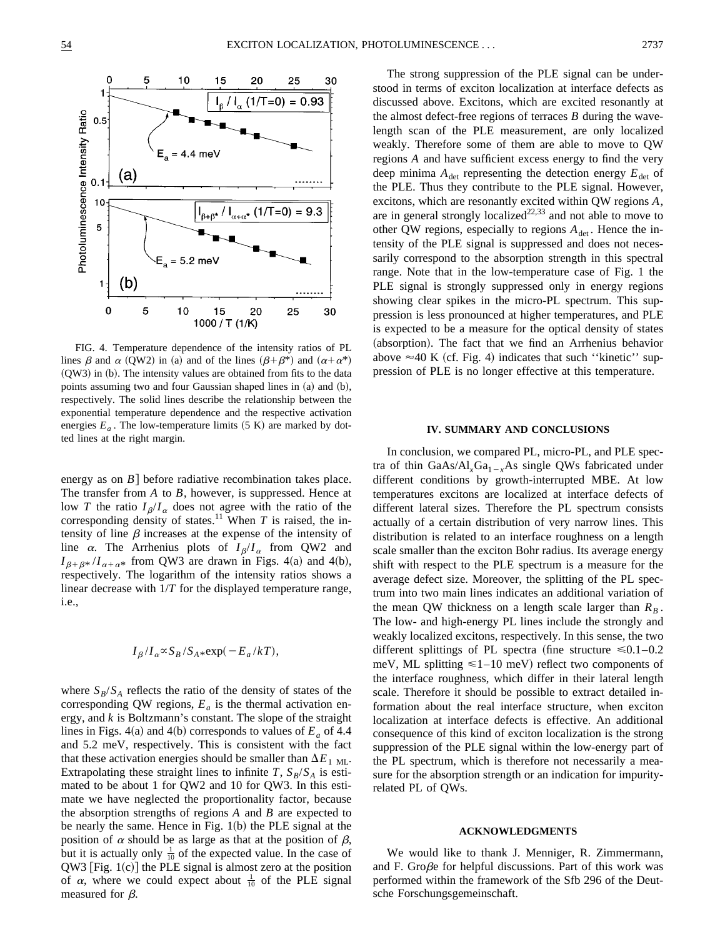

FIG. 4. Temperature dependence of the intensity ratios of PL lines  $\beta$  and  $\alpha$  (QW2) in (a) and of the lines  $(\beta + \beta^*)$  and  $(\alpha + \alpha^*)$  $(QW3)$  in (b). The intensity values are obtained from fits to the data points assuming two and four Gaussian shaped lines in  $(a)$  and  $(b)$ , respectively. The solid lines describe the relationship between the exponential temperature dependence and the respective activation energies  $E_a$ . The low-temperature limits  $(5 K)$  are marked by dotted lines at the right margin.

energy as on  $B$  before radiative recombination takes place. The transfer from *A* to *B*, however, is suppressed. Hence at low *T* the ratio  $I_{\beta}/I_{\alpha}$  does not agree with the ratio of the corresponding density of states.<sup>11</sup> When  $T$  is raised, the intensity of line  $\beta$  increases at the expense of the intensity of line  $\alpha$ . The Arrhenius plots of  $I_{\beta}/I_{\alpha}$  from QW2 and  $I_{\beta+\beta*}/I_{\alpha+\alpha*}$  from QW3 are drawn in Figs. 4(a) and 4(b), respectively. The logarithm of the intensity ratios shows a linear decrease with 1/*T* for the displayed temperature range, i.e.,

$$
I_{\beta}/I_{\alpha} \propto S_B/S_A * \exp(-E_a/kT),
$$

where  $S_B/S_A$  reflects the ratio of the density of states of the corresponding QW regions,  $E_a$  is the thermal activation energy, and *k* is Boltzmann's constant. The slope of the straight lines in Figs. 4(a) and 4(b) corresponds to values of  $E_a$  of 4.4 and 5.2 meV, respectively. This is consistent with the fact that these activation energies should be smaller than  $\Delta E_{1 \text{ ML}}$ . Extrapolating these straight lines to infinite *T*,  $S_B/S_A$  is estimated to be about 1 for QW2 and 10 for QW3. In this estimate we have neglected the proportionality factor, because the absorption strengths of regions *A* and *B* are expected to be nearly the same. Hence in Fig.  $1(b)$  the PLE signal at the position of  $\alpha$  should be as large as that at the position of  $\beta$ , but it is actually only  $\frac{1}{10}$  of the expected value. In the case of  $QW3$  [Fig. 1(c)] the PLE signal is almost zero at the position of  $\alpha$ , where we could expect about  $\frac{1}{10}$  of the PLE signal measured for  $\beta$ .

The strong suppression of the PLE signal can be understood in terms of exciton localization at interface defects as discussed above. Excitons, which are excited resonantly at the almost defect-free regions of terraces *B* during the wavelength scan of the PLE measurement, are only localized weakly. Therefore some of them are able to move to QW regions *A* and have sufficient excess energy to find the very deep minima  $A_{\text{det}}$  representing the detection energy  $E_{\text{det}}$  of the PLE. Thus they contribute to the PLE signal. However, excitons, which are resonantly excited within QW regions *A*, are in general strongly localized<sup>22,33</sup> and not able to move to other QW regions, especially to regions  $A_{\text{det}}$ . Hence the intensity of the PLE signal is suppressed and does not necessarily correspond to the absorption strength in this spectral range. Note that in the low-temperature case of Fig. 1 the PLE signal is strongly suppressed only in energy regions showing clear spikes in the micro-PL spectrum. This suppression is less pronounced at higher temperatures, and PLE is expected to be a measure for the optical density of states (absorption). The fact that we find an Arrhenius behavior above  $\approx$  40 K (cf. Fig. 4) indicates that such "kinetic" suppression of PLE is no longer effective at this temperature.

#### **IV. SUMMARY AND CONCLUSIONS**

In conclusion, we compared PL, micro-PL, and PLE spectra of thin GaAs/Al<sub>x</sub>Ga<sub>1-x</sub>As single QWs fabricated under different conditions by growth-interrupted MBE. At low temperatures excitons are localized at interface defects of different lateral sizes. Therefore the PL spectrum consists actually of a certain distribution of very narrow lines. This distribution is related to an interface roughness on a length scale smaller than the exciton Bohr radius. Its average energy shift with respect to the PLE spectrum is a measure for the average defect size. Moreover, the splitting of the PL spectrum into two main lines indicates an additional variation of the mean QW thickness on a length scale larger than  $R_B$ . The low- and high-energy PL lines include the strongly and weakly localized excitons, respectively. In this sense, the two different splittings of PL spectra (fine structure  $\leq 0.1-0.2$ ) meV, ML splitting  $\leq 1-10$  meV) reflect two components of the interface roughness, which differ in their lateral length scale. Therefore it should be possible to extract detailed information about the real interface structure, when exciton localization at interface defects is effective. An additional consequence of this kind of exciton localization is the strong suppression of the PLE signal within the low-energy part of the PL spectrum, which is therefore not necessarily a measure for the absorption strength or an indication for impurityrelated PL of QWs.

## **ACKNOWLEDGMENTS**

We would like to thank J. Menniger, R. Zimmermann, and F. Gro $\beta$ e for helpful discussions. Part of this work was performed within the framework of the Sfb 296 of the Deutsche Forschungsgemeinschaft.